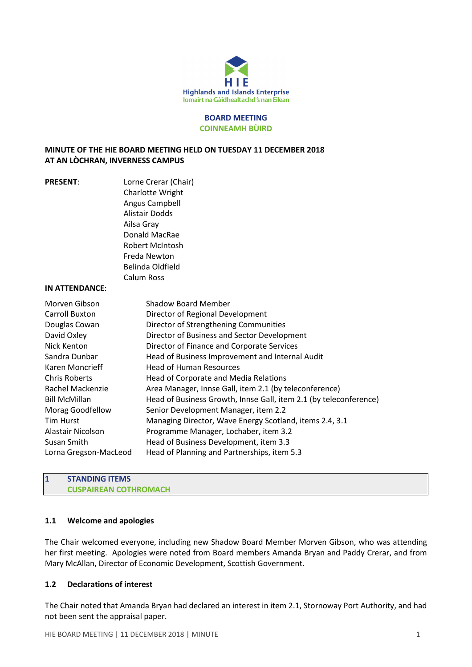

#### BOARD MEETING COINNEAMH BÙIRD

## MINUTE OF THE HIE BOARD MEETING HELD ON TUESDAY 11 DECEMBER 2018 AT AN LÒCHRAN, INVERNESS CAMPUS

| <b>PRESENT:</b>       | Lorne Crerar (Chair)                                              |
|-----------------------|-------------------------------------------------------------------|
|                       | Charlotte Wright                                                  |
|                       | Angus Campbell                                                    |
|                       | Alistair Dodds                                                    |
|                       | Ailsa Gray                                                        |
|                       | Donald MacRae                                                     |
|                       | <b>Robert McIntosh</b>                                            |
|                       | Freda Newton                                                      |
|                       | Belinda Oldfield                                                  |
|                       | Calum Ross                                                        |
| IN ATTENDANCE:        |                                                                   |
| Morven Gibson         | Shadow Board Member                                               |
| Carroll Buxton        | Director of Regional Development                                  |
| Douglas Cowan         | Director of Strengthening Communities                             |
| David Oxley           | Director of Business and Sector Development                       |
| Nick Kenton           | Director of Finance and Corporate Services                        |
| Sandra Dunbar         | Head of Business Improvement and Internal Audit                   |
| Karen Moncrieff       | <b>Head of Human Resources</b>                                    |
| Chris Roberts         | Head of Corporate and Media Relations                             |
| Rachel Mackenzie      | Area Manager, Innse Gall, item 2.1 (by teleconference)            |
| <b>Bill McMillan</b>  | Head of Business Growth, Innse Gall, item 2.1 (by teleconference) |
| Morag Goodfellow      | Senior Development Manager, item 2.2                              |
| Tim Hurst             | Managing Director, Wave Energy Scotland, items 2.4, 3.1           |
| Alastair Nicolson     | Programme Manager, Lochaber, item 3.2                             |
| Susan Smith           | Head of Business Development, item 3.3                            |
| Lorna Gregson-MacLeod | Head of Planning and Partnerships, item 5.3                       |
|                       |                                                                   |

### 1 STANDING ITEMS CUSPAIREAN COTHROMACH

# 1.1 Welcome and apologies

The Chair welcomed everyone, including new Shadow Board Member Morven Gibson, who was attending her first meeting. Apologies were noted from Board members Amanda Bryan and Paddy Crerar, and from Mary McAllan, Director of Economic Development, Scottish Government.

#### 1.2 Declarations of interest

The Chair noted that Amanda Bryan had declared an interest in item 2.1, Stornoway Port Authority, and had not been sent the appraisal paper.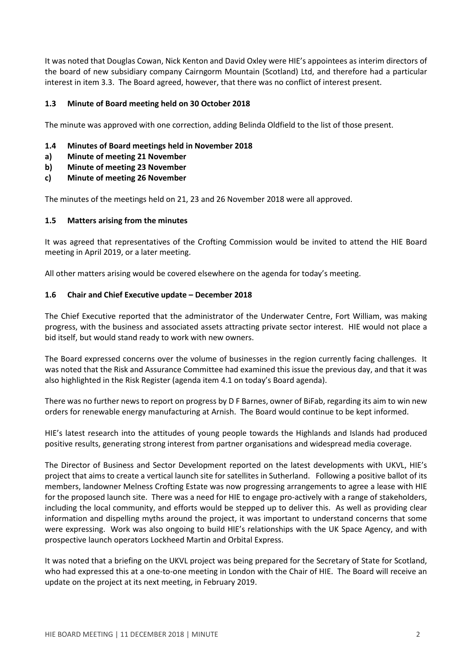It was noted that Douglas Cowan, Nick Kenton and David Oxley were HIE's appointees as interim directors of the board of new subsidiary company Cairngorm Mountain (Scotland) Ltd, and therefore had a particular interest in item 3.3. The Board agreed, however, that there was no conflict of interest present.

### 1.3 Minute of Board meeting held on 30 October 2018

The minute was approved with one correction, adding Belinda Oldfield to the list of those present.

- 1.4 Minutes of Board meetings held in November 2018
- a) Minute of meeting 21 November
- b) Minute of meeting 23 November
- c) Minute of meeting 26 November

The minutes of the meetings held on 21, 23 and 26 November 2018 were all approved.

#### 1.5 Matters arising from the minutes

It was agreed that representatives of the Crofting Commission would be invited to attend the HIE Board meeting in April 2019, or a later meeting.

All other matters arising would be covered elsewhere on the agenda for today's meeting.

### 1.6 Chair and Chief Executive update – December 2018

The Chief Executive reported that the administrator of the Underwater Centre, Fort William, was making progress, with the business and associated assets attracting private sector interest. HIE would not place a bid itself, but would stand ready to work with new owners.

The Board expressed concerns over the volume of businesses in the region currently facing challenges. It was noted that the Risk and Assurance Committee had examined this issue the previous day, and that it was also highlighted in the Risk Register (agenda item 4.1 on today's Board agenda).

There was no further news to report on progress by D F Barnes, owner of BiFab, regarding its aim to win new orders for renewable energy manufacturing at Arnish. The Board would continue to be kept informed.

HIE's latest research into the attitudes of young people towards the Highlands and Islands had produced positive results, generating strong interest from partner organisations and widespread media coverage.

The Director of Business and Sector Development reported on the latest developments with UKVL, HIE's project that aims to create a vertical launch site for satellites in Sutherland. Following a positive ballot of its members, landowner Melness Crofting Estate was now progressing arrangements to agree a lease with HIE for the proposed launch site. There was a need for HIE to engage pro-actively with a range of stakeholders, including the local community, and efforts would be stepped up to deliver this. As well as providing clear information and dispelling myths around the project, it was important to understand concerns that some were expressing. Work was also ongoing to build HIE's relationships with the UK Space Agency, and with prospective launch operators Lockheed Martin and Orbital Express.

It was noted that a briefing on the UKVL project was being prepared for the Secretary of State for Scotland, who had expressed this at a one-to-one meeting in London with the Chair of HIE. The Board will receive an update on the project at its next meeting, in February 2019.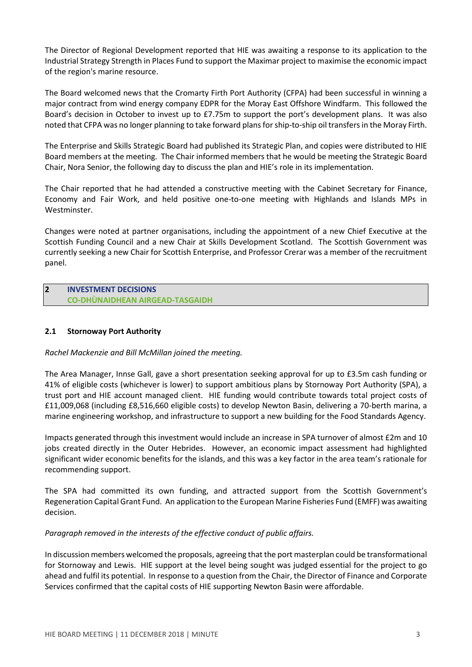The Director of Regional Development reported that HIE was awaiting a response to its application to the Industrial Strategy Strength in Places Fund to support the Maximar project to maximise the economic impact of the region's marine resource.

The Board welcomed news that the Cromarty Firth Port Authority (CFPA) had been successful in winning a major contract from wind energy company EDPR for the Moray East Offshore Windfarm. This followed the Board's decision in October to invest up to £7.75m to support the port's development plans. It was also noted that CFPA was no longer planning to take forward plans for ship-to-ship oil transfers in the Moray Firth.

The Enterprise and Skills Strategic Board had published its Strategic Plan, and copies were distributed to HIE Board members at the meeting. The Chair informed members that he would be meeting the Strategic Board Chair, Nora Senior, the following day to discuss the plan and HIE's role in its implementation.

The Chair reported that he had attended a constructive meeting with the Cabinet Secretary for Finance, Economy and Fair Work, and held positive one-to-one meeting with Highlands and Islands MPs in Westminster.

Changes were noted at partner organisations, including the appointment of a new Chief Executive at the Scottish Funding Council and a new Chair at Skills Development Scotland. The Scottish Government was currently seeking a new Chair for Scottish Enterprise, and Professor Crerar was a member of the recruitment panel.

2 INVESTMENT DECISIONS CO-DHÙNAIDHEAN AIRGEAD-TASGAIDH

### 2.1 Stornoway Port Authority

#### Rachel Mackenzie and Bill McMillan joined the meeting.

The Area Manager, Innse Gall, gave a short presentation seeking approval for up to £3.5m cash funding or 41% of eligible costs (whichever is lower) to support ambitious plans by Stornoway Port Authority (SPA), a trust port and HIE account managed client. HIE funding would contribute towards total project costs of £11,009,068 (including £8,516,660 eligible costs) to develop Newton Basin, delivering a 70-berth marina, a marine engineering workshop, and infrastructure to support a new building for the Food Standards Agency.

Impacts generated through this investment would include an increase in SPA turnover of almost £2m and 10 jobs created directly in the Outer Hebrides. However, an economic impact assessment had highlighted significant wider economic benefits for the islands, and this was a key factor in the area team's rationale for recommending support.

The SPA had committed its own funding, and attracted support from the Scottish Government's Regeneration Capital Grant Fund. An application to the European Marine Fisheries Fund (EMFF) was awaiting decision.

#### Paragraph removed in the interests of the effective conduct of public affairs.

In discussion members welcomed the proposals, agreeing that the port masterplan could be transformational for Stornoway and Lewis. HIE support at the level being sought was judged essential for the project to go ahead and fulfil its potential. In response to a question from the Chair, the Director of Finance and Corporate Services confirmed that the capital costs of HIE supporting Newton Basin were affordable.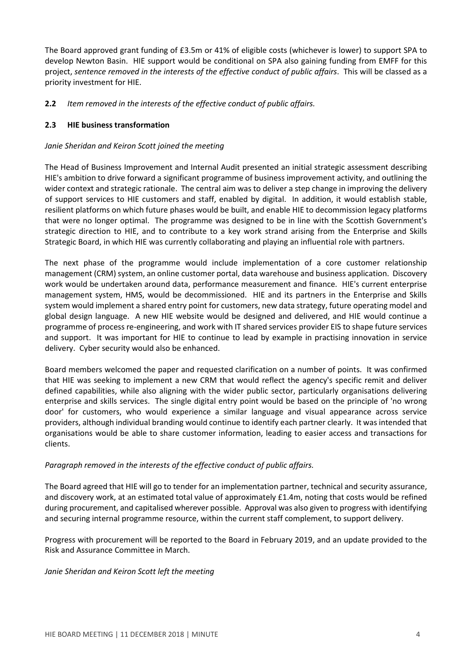The Board approved grant funding of £3.5m or 41% of eligible costs (whichever is lower) to support SPA to develop Newton Basin. HIE support would be conditional on SPA also gaining funding from EMFF for this project, sentence removed in the interests of the effective conduct of public affairs. This will be classed as a priority investment for HIE.

# **2.2** Item removed in the interests of the effective conduct of public affairs.

# 2.3 HIE business transformation

### Janie Sheridan and Keiron Scott joined the meeting

The Head of Business Improvement and Internal Audit presented an initial strategic assessment describing HIE's ambition to drive forward a significant programme of business improvement activity, and outlining the wider context and strategic rationale. The central aim was to deliver a step change in improving the delivery of support services to HIE customers and staff, enabled by digital. In addition, it would establish stable, resilient platforms on which future phases would be built, and enable HIE to decommission legacy platforms that were no longer optimal. The programme was designed to be in line with the Scottish Government's strategic direction to HIE, and to contribute to a key work strand arising from the Enterprise and Skills Strategic Board, in which HIE was currently collaborating and playing an influential role with partners.

The next phase of the programme would include implementation of a core customer relationship management (CRM) system, an online customer portal, data warehouse and business application. Discovery work would be undertaken around data, performance measurement and finance. HIE's current enterprise management system, HMS, would be decommissioned. HIE and its partners in the Enterprise and Skills system would implement a shared entry point for customers, new data strategy, future operating model and global design language. A new HIE website would be designed and delivered, and HIE would continue a programme of process re-engineering, and work with IT shared services provider EIS to shape future services and support. It was important for HIE to continue to lead by example in practising innovation in service delivery. Cyber security would also be enhanced.

Board members welcomed the paper and requested clarification on a number of points. It was confirmed that HIE was seeking to implement a new CRM that would reflect the agency's specific remit and deliver defined capabilities, while also aligning with the wider public sector, particularly organisations delivering enterprise and skills services. The single digital entry point would be based on the principle of 'no wrong door' for customers, who would experience a similar language and visual appearance across service providers, although individual branding would continue to identify each partner clearly. It was intended that organisations would be able to share customer information, leading to easier access and transactions for clients.

#### Paragraph removed in the interests of the effective conduct of public affairs.

The Board agreed that HIE will go to tender for an implementation partner, technical and security assurance, and discovery work, at an estimated total value of approximately £1.4m, noting that costs would be refined during procurement, and capitalised wherever possible. Approval was also given to progress with identifying and securing internal programme resource, within the current staff complement, to support delivery.

Progress with procurement will be reported to the Board in February 2019, and an update provided to the Risk and Assurance Committee in March.

#### Janie Sheridan and Keiron Scott left the meeting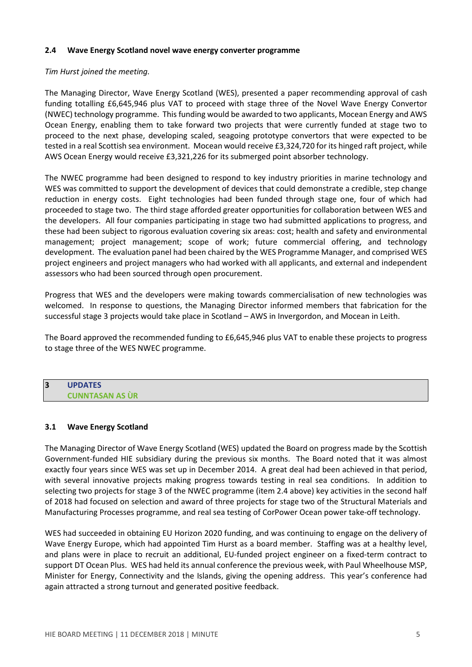#### 2.4 Wave Energy Scotland novel wave energy converter programme

### Tim Hurst joined the meeting.

The Managing Director, Wave Energy Scotland (WES), presented a paper recommending approval of cash funding totalling £6,645,946 plus VAT to proceed with stage three of the Novel Wave Energy Convertor (NWEC) technology programme. This funding would be awarded to two applicants, Mocean Energy and AWS Ocean Energy, enabling them to take forward two projects that were currently funded at stage two to proceed to the next phase, developing scaled, seagoing prototype convertors that were expected to be tested in a real Scottish sea environment. Mocean would receive £3,324,720 for its hinged raft project, while AWS Ocean Energy would receive £3,321,226 for its submerged point absorber technology.

The NWEC programme had been designed to respond to key industry priorities in marine technology and WES was committed to support the development of devices that could demonstrate a credible, step change reduction in energy costs. Eight technologies had been funded through stage one, four of which had proceeded to stage two. The third stage afforded greater opportunities for collaboration between WES and the developers. All four companies participating in stage two had submitted applications to progress, and these had been subject to rigorous evaluation covering six areas: cost; health and safety and environmental management; project management; scope of work; future commercial offering, and technology development. The evaluation panel had been chaired by the WES Programme Manager, and comprised WES project engineers and project managers who had worked with all applicants, and external and independent assessors who had been sourced through open procurement.

Progress that WES and the developers were making towards commercialisation of new technologies was welcomed. In response to questions, the Managing Director informed members that fabrication for the successful stage 3 projects would take place in Scotland – AWS in Invergordon, and Mocean in Leith.

The Board approved the recommended funding to £6,645,946 plus VAT to enable these projects to progress to stage three of the WES NWEC programme.

#### 3 UPDATES CUNNTASAN AS ÙR

#### 3.1 Wave Energy Scotland

The Managing Director of Wave Energy Scotland (WES) updated the Board on progress made by the Scottish Government-funded HIE subsidiary during the previous six months. The Board noted that it was almost exactly four years since WES was set up in December 2014. A great deal had been achieved in that period, with several innovative projects making progress towards testing in real sea conditions. In addition to selecting two projects for stage 3 of the NWEC programme (item 2.4 above) key activities in the second half of 2018 had focused on selection and award of three projects for stage two of the Structural Materials and Manufacturing Processes programme, and real sea testing of CorPower Ocean power take-off technology.

WES had succeeded in obtaining EU Horizon 2020 funding, and was continuing to engage on the delivery of Wave Energy Europe, which had appointed Tim Hurst as a board member. Staffing was at a healthy level, and plans were in place to recruit an additional, EU-funded project engineer on a fixed-term contract to support DT Ocean Plus. WES had held its annual conference the previous week, with Paul Wheelhouse MSP, Minister for Energy, Connectivity and the Islands, giving the opening address. This year's conference had again attracted a strong turnout and generated positive feedback.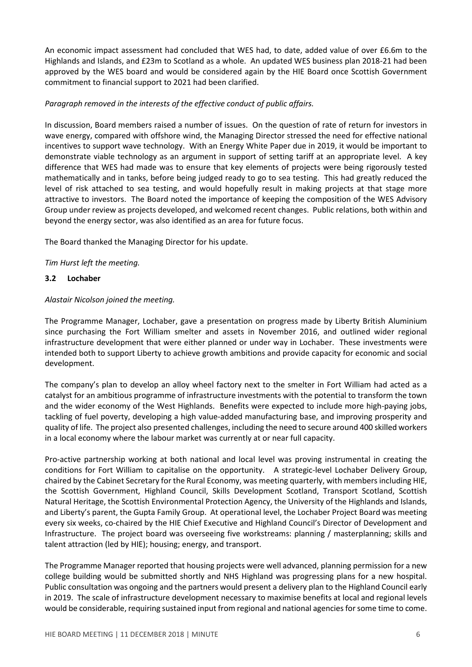An economic impact assessment had concluded that WES had, to date, added value of over £6.6m to the Highlands and Islands, and £23m to Scotland as a whole. An updated WES business plan 2018-21 had been approved by the WES board and would be considered again by the HIE Board once Scottish Government commitment to financial support to 2021 had been clarified.

## Paragraph removed in the interests of the effective conduct of public affairs.

In discussion, Board members raised a number of issues. On the question of rate of return for investors in wave energy, compared with offshore wind, the Managing Director stressed the need for effective national incentives to support wave technology. With an Energy White Paper due in 2019, it would be important to demonstrate viable technology as an argument in support of setting tariff at an appropriate level. A key difference that WES had made was to ensure that key elements of projects were being rigorously tested mathematically and in tanks, before being judged ready to go to sea testing. This had greatly reduced the level of risk attached to sea testing, and would hopefully result in making projects at that stage more attractive to investors. The Board noted the importance of keeping the composition of the WES Advisory Group under review as projects developed, and welcomed recent changes. Public relations, both within and beyond the energy sector, was also identified as an area for future focus.

The Board thanked the Managing Director for his update.

Tim Hurst left the meeting.

### 3.2 Lochaber

### Alastair Nicolson joined the meeting.

The Programme Manager, Lochaber, gave a presentation on progress made by Liberty British Aluminium since purchasing the Fort William smelter and assets in November 2016, and outlined wider regional infrastructure development that were either planned or under way in Lochaber. These investments were intended both to support Liberty to achieve growth ambitions and provide capacity for economic and social development.

The company's plan to develop an alloy wheel factory next to the smelter in Fort William had acted as a catalyst for an ambitious programme of infrastructure investments with the potential to transform the town and the wider economy of the West Highlands. Benefits were expected to include more high-paying jobs, tackling of fuel poverty, developing a high value-added manufacturing base, and improving prosperity and quality of life. The project also presented challenges, including the need to secure around 400 skilled workers in a local economy where the labour market was currently at or near full capacity.

Pro-active partnership working at both national and local level was proving instrumental in creating the conditions for Fort William to capitalise on the opportunity. A strategic-level Lochaber Delivery Group, chaired by the Cabinet Secretary for the Rural Economy, was meeting quarterly, with members including HIE, the Scottish Government, Highland Council, Skills Development Scotland, Transport Scotland, Scottish Natural Heritage, the Scottish Environmental Protection Agency, the University of the Highlands and Islands, and Liberty's parent, the Gupta Family Group. At operational level, the Lochaber Project Board was meeting every six weeks, co-chaired by the HIE Chief Executive and Highland Council's Director of Development and Infrastructure. The project board was overseeing five workstreams: planning / masterplanning; skills and talent attraction (led by HIE); housing; energy, and transport.

The Programme Manager reported that housing projects were well advanced, planning permission for a new college building would be submitted shortly and NHS Highland was progressing plans for a new hospital. Public consultation was ongoing and the partners would present a delivery plan to the Highland Council early in 2019. The scale of infrastructure development necessary to maximise benefits at local and regional levels would be considerable, requiring sustained input from regional and national agencies for some time to come.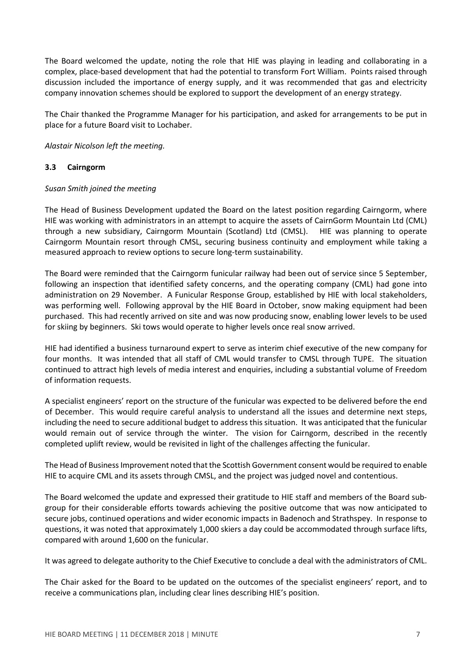The Board welcomed the update, noting the role that HIE was playing in leading and collaborating in a complex, place-based development that had the potential to transform Fort William. Points raised through discussion included the importance of energy supply, and it was recommended that gas and electricity company innovation schemes should be explored to support the development of an energy strategy.

The Chair thanked the Programme Manager for his participation, and asked for arrangements to be put in place for a future Board visit to Lochaber.

Alastair Nicolson left the meeting.

### 3.3 Cairngorm

### Susan Smith joined the meeting

The Head of Business Development updated the Board on the latest position regarding Cairngorm, where HIE was working with administrators in an attempt to acquire the assets of CairnGorm Mountain Ltd (CML) through a new subsidiary, Cairngorm Mountain (Scotland) Ltd (CMSL). HIE was planning to operate Cairngorm Mountain resort through CMSL, securing business continuity and employment while taking a measured approach to review options to secure long-term sustainability.

The Board were reminded that the Cairngorm funicular railway had been out of service since 5 September, following an inspection that identified safety concerns, and the operating company (CML) had gone into administration on 29 November. A Funicular Response Group, established by HIE with local stakeholders, was performing well. Following approval by the HIE Board in October, snow making equipment had been purchased. This had recently arrived on site and was now producing snow, enabling lower levels to be used for skiing by beginners. Ski tows would operate to higher levels once real snow arrived.

HIE had identified a business turnaround expert to serve as interim chief executive of the new company for four months. It was intended that all staff of CML would transfer to CMSL through TUPE. The situation continued to attract high levels of media interest and enquiries, including a substantial volume of Freedom of information requests.

A specialist engineers' report on the structure of the funicular was expected to be delivered before the end of December. This would require careful analysis to understand all the issues and determine next steps, including the need to secure additional budget to address this situation. It was anticipated that the funicular would remain out of service through the winter. The vision for Cairngorm, described in the recently completed uplift review, would be revisited in light of the challenges affecting the funicular.

The Head of Business Improvement noted that the Scottish Government consent would be required to enable HIE to acquire CML and its assets through CMSL, and the project was judged novel and contentious.

The Board welcomed the update and expressed their gratitude to HIE staff and members of the Board subgroup for their considerable efforts towards achieving the positive outcome that was now anticipated to secure jobs, continued operations and wider economic impacts in Badenoch and Strathspey. In response to questions, it was noted that approximately 1,000 skiers a day could be accommodated through surface lifts, compared with around 1,600 on the funicular.

It was agreed to delegate authority to the Chief Executive to conclude a deal with the administrators of CML.

The Chair asked for the Board to be updated on the outcomes of the specialist engineers' report, and to receive a communications plan, including clear lines describing HIE's position.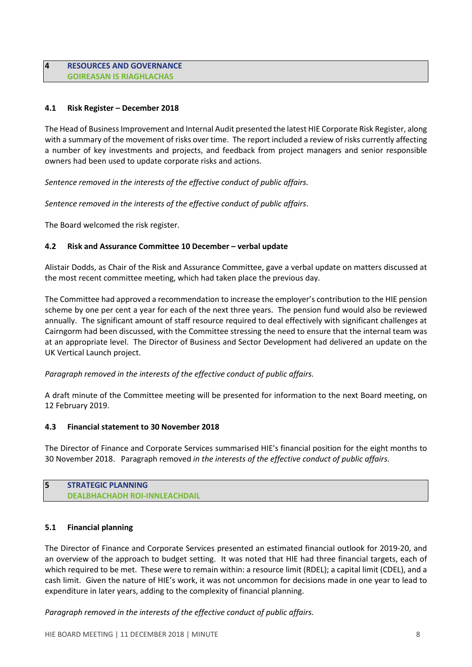### 4 RESOURCES AND GOVERNANCE GOIREASAN IS RIAGHLACHAS

## 4.1 Risk Register – December 2018

The Head of Business Improvement and Internal Audit presented the latest HIE Corporate Risk Register, along with a summary of the movement of risks over time. The report included a review of risks currently affecting a number of key investments and projects, and feedback from project managers and senior responsible owners had been used to update corporate risks and actions.

Sentence removed in the interests of the effective conduct of public affairs.

Sentence removed in the interests of the effective conduct of public affairs.

The Board welcomed the risk register.

### 4.2 Risk and Assurance Committee 10 December – verbal update

Alistair Dodds, as Chair of the Risk and Assurance Committee, gave a verbal update on matters discussed at the most recent committee meeting, which had taken place the previous day.

The Committee had approved a recommendation to increase the employer's contribution to the HIE pension scheme by one per cent a year for each of the next three years. The pension fund would also be reviewed annually. The significant amount of staff resource required to deal effectively with significant challenges at Cairngorm had been discussed, with the Committee stressing the need to ensure that the internal team was at an appropriate level. The Director of Business and Sector Development had delivered an update on the UK Vertical Launch project.

Paragraph removed in the interests of the effective conduct of public affairs.

A draft minute of the Committee meeting will be presented for information to the next Board meeting, on 12 February 2019.

#### 4.3 Financial statement to 30 November 2018

The Director of Finance and Corporate Services summarised HIE's financial position for the eight months to 30 November 2018. Paragraph removed in the interests of the effective conduct of public affairs.

#### 5 STRATEGIC PLANNING DEALBHACHADH ROI-INNLEACHDAIL

#### 5.1 Financial planning

The Director of Finance and Corporate Services presented an estimated financial outlook for 2019-20, and an overview of the approach to budget setting. It was noted that HIE had three financial targets, each of which required to be met. These were to remain within: a resource limit (RDEL); a capital limit (CDEL), and a cash limit. Given the nature of HIE's work, it was not uncommon for decisions made in one year to lead to expenditure in later years, adding to the complexity of financial planning.

Paragraph removed in the interests of the effective conduct of public affairs.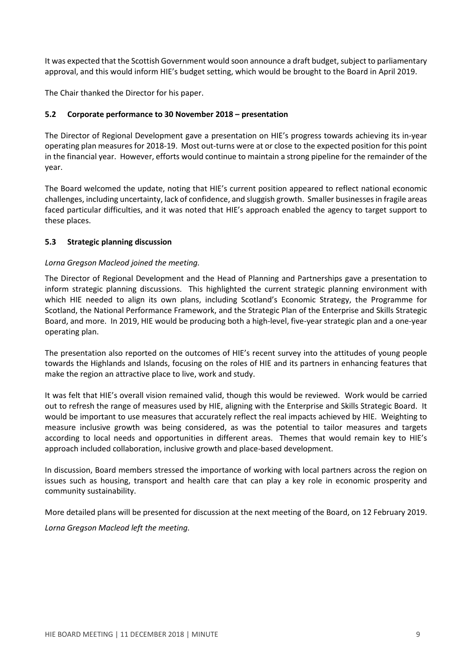It was expected that the Scottish Government would soon announce a draft budget, subject to parliamentary approval, and this would inform HIE's budget setting, which would be brought to the Board in April 2019.

The Chair thanked the Director for his paper.

### 5.2 Corporate performance to 30 November 2018 – presentation

The Director of Regional Development gave a presentation on HIE's progress towards achieving its in-year operating plan measures for 2018-19. Most out-turns were at or close to the expected position for this point in the financial year. However, efforts would continue to maintain a strong pipeline for the remainder of the year.

The Board welcomed the update, noting that HIE's current position appeared to reflect national economic challenges, including uncertainty, lack of confidence, and sluggish growth. Smaller businesses in fragile areas faced particular difficulties, and it was noted that HIE's approach enabled the agency to target support to these places.

### 5.3 Strategic planning discussion

### Lorna Gregson Macleod joined the meeting.

The Director of Regional Development and the Head of Planning and Partnerships gave a presentation to inform strategic planning discussions. This highlighted the current strategic planning environment with which HIE needed to align its own plans, including Scotland's Economic Strategy, the Programme for Scotland, the National Performance Framework, and the Strategic Plan of the Enterprise and Skills Strategic Board, and more. In 2019, HIE would be producing both a high-level, five-year strategic plan and a one-year operating plan.

The presentation also reported on the outcomes of HIE's recent survey into the attitudes of young people towards the Highlands and Islands, focusing on the roles of HIE and its partners in enhancing features that make the region an attractive place to live, work and study.

It was felt that HIE's overall vision remained valid, though this would be reviewed. Work would be carried out to refresh the range of measures used by HIE, aligning with the Enterprise and Skills Strategic Board. It would be important to use measures that accurately reflect the real impacts achieved by HIE. Weighting to measure inclusive growth was being considered, as was the potential to tailor measures and targets according to local needs and opportunities in different areas. Themes that would remain key to HIE's approach included collaboration, inclusive growth and place-based development.

In discussion, Board members stressed the importance of working with local partners across the region on issues such as housing, transport and health care that can play a key role in economic prosperity and community sustainability.

More detailed plans will be presented for discussion at the next meeting of the Board, on 12 February 2019. Lorna Gregson Macleod left the meeting.